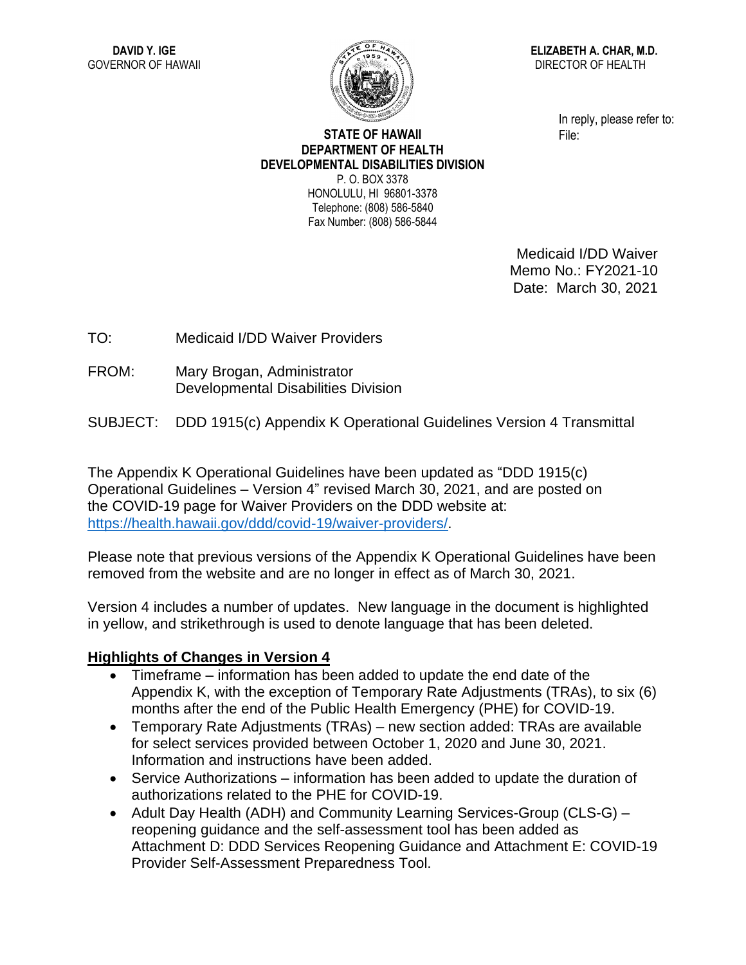

**ELIZABETH A. CHAR, M.D.** DIRECTOR OF HEALTH

> In reply, please refer to: File:

## **STATE OF HAWAII DEPARTMENT OF HEALTH DEVELOPMENTAL DISABILITIES DIVISION** P. O. BOX 3378 HONOLULU, HI 96801-3378

Telephone: (808) 586-5840 Fax Number: (808) 586-5844

> Medicaid I/DD Waiver Memo No.: FY2021-10 Date: March 30, 2021

TO: Medicaid I/DD Waiver Providers

FROM: Mary Brogan, Administrator Developmental Disabilities Division

SUBJECT: DDD 1915(c) Appendix K Operational Guidelines Version 4 Transmittal

The Appendix K Operational Guidelines have been updated as "DDD 1915(c) Operational Guidelines – Version 4" revised March 30, 2021, and are posted on the COVID-19 page for Waiver Providers on the DDD website at: [https://health.hawaii.gov/ddd/covid-19/waiver-providers/.](https://health.hawaii.gov/ddd/covid-19/waiver-providers/)

Please note that previous versions of the Appendix K Operational Guidelines have been removed from the website and are no longer in effect as of March 30, 2021.

Version 4 includes a number of updates. New language in the document is highlighted in yellow, and strikethrough is used to denote language that has been deleted.

## **Highlights of Changes in Version 4**

- Timeframe information has been added to update the end date of the Appendix K, with the exception of Temporary Rate Adjustments (TRAs), to six (6) months after the end of the Public Health Emergency (PHE) for COVID-19.
- Temporary Rate Adjustments (TRAs) new section added: TRAs are available for select services provided between October 1, 2020 and June 30, 2021. Information and instructions have been added.
- Service Authorizations information has been added to update the duration of authorizations related to the PHE for COVID-19.
- Adult Day Health (ADH) and Community Learning Services-Group (CLS-G) reopening guidance and the self-assessment tool has been added as Attachment D: DDD Services Reopening Guidance and Attachment E: COVID-19 Provider Self-Assessment Preparedness Tool.